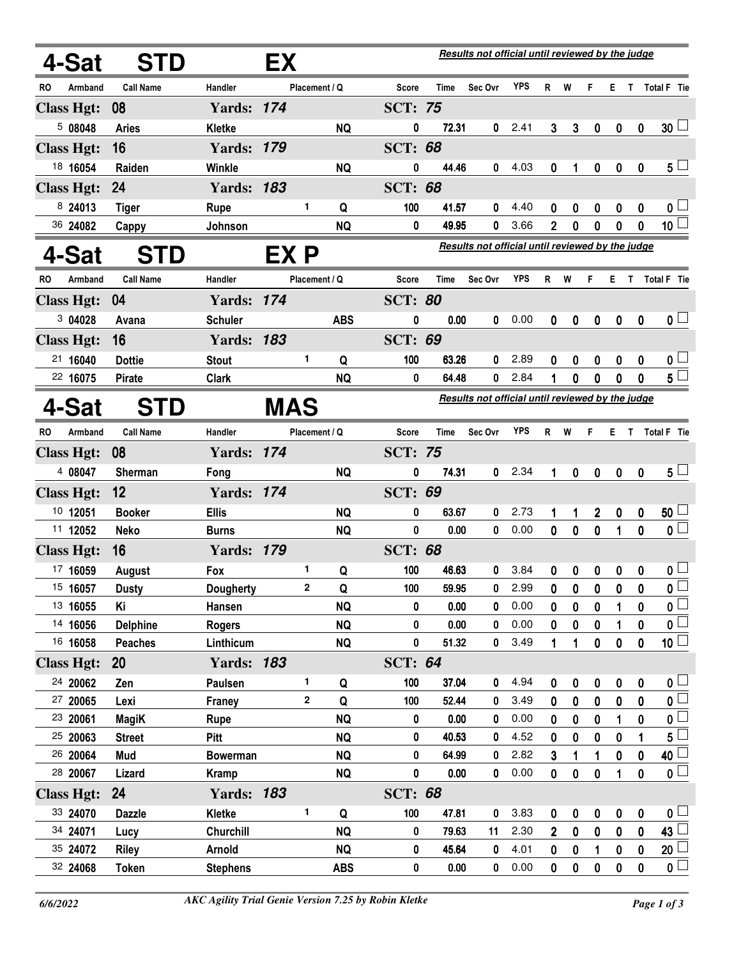|                      | <b>STD</b><br>4-Sat  | Results not official until reviewed by the judge<br>EX |            |               |                        |                |                |                                                  |              |                     |                  |                  |                  |                  |                                              |
|----------------------|----------------------|--------------------------------------------------------|------------|---------------|------------------------|----------------|----------------|--------------------------------------------------|--------------|---------------------|------------------|------------------|------------------|------------------|----------------------------------------------|
| RO.<br>Armband       | <b>Call Name</b>     | <b>Handler</b>                                         |            | Placement / Q |                        | <b>Score</b>   | Time           | Sec Ovr                                          | YPS          | R                   | W                | F                | E.               | T.               | Total F Tie                                  |
| <b>Class Hgt:</b>    | 08                   | <b>Yards: 174</b>                                      |            |               |                        | <b>SCT: 75</b> |                |                                                  |              |                     |                  |                  |                  |                  |                                              |
| 508048               | <b>Aries</b>         | Kletke                                                 |            |               | <b>NQ</b>              | 0              | 72.31          | 0                                                | 2.41         | 3                   | 3                | $\mathbf 0$      | $\boldsymbol{0}$ | $\boldsymbol{0}$ | $30+$                                        |
| <b>Class Hgt:</b>    | 16                   | <b>Yards: 179</b>                                      |            |               |                        | <b>SCT: 68</b> |                |                                                  |              |                     |                  |                  |                  |                  |                                              |
| 18 16054             | Raiden               | Winkle                                                 |            |               | <b>NQ</b>              | 0              | 44.46          | 0                                                | 4.03         | $\mathbf 0$         | 1                | $\boldsymbol{0}$ | $\boldsymbol{0}$ | $\bf{0}$         | $5^{\perp}$                                  |
| <b>Class Hgt:</b>    | 24                   | <b>Yards: 183</b>                                      |            |               |                        | <b>SCT: 68</b> |                |                                                  |              |                     |                  |                  |                  |                  |                                              |
| 8 24013              | <b>Tiger</b>         | <b>Rupe</b>                                            |            | 1             | Q                      | 100            | 41.57          | 0                                                | 4.40         | 0                   | 0                | 0                | 0                | 0                | 0 <sub>1</sub>                               |
| 36 24082             | Cappy                | Johnson                                                |            |               | <b>NQ</b>              | 0              | 49.95          | 0                                                | 3.66         | $\mathbf 2$         | 0                | 0                | 0                | 0                | 10 <sup>1</sup>                              |
| 4-Sat                | <b>STD</b>           |                                                        | EX P       |               |                        |                |                | Results not official until reviewed by the judge |              |                     |                  |                  |                  |                  |                                              |
| <b>RO</b><br>Armband | <b>Call Name</b>     | Handler                                                |            | Placement / Q |                        | <b>Score</b>   | <b>Time</b>    | Sec Ovr                                          | <b>YPS</b>   | R                   | W                | F                | Е                | $\mathsf{T}$     | Total F Tie                                  |
| <b>Class Hgt:</b>    | 04                   | <b>Yards: 174</b>                                      |            |               |                        | <b>SCT: 80</b> |                |                                                  |              |                     |                  |                  |                  |                  |                                              |
| 304028               | Avana                | <b>Schuler</b>                                         |            |               | <b>ABS</b>             | 0              | 0.00           | 0                                                | 0.00         | 0                   | 0                | 0                | $\mathbf 0$      | $\mathbf 0$      | $\mathbf{0}$ $\Box$                          |
| <b>Class Hgt:</b>    | 16                   | <b>Yards: 183</b>                                      |            |               |                        | <b>SCT: 69</b> |                |                                                  |              |                     |                  |                  |                  |                  |                                              |
| 21 16040             | <b>Dottie</b>        | <b>Stout</b>                                           |            | 1             | Q                      | 100            | 63.26          | 0                                                | 2.89         | 0                   | 0                | 0                | 0                | 0                | 0 <sub>1</sub>                               |
| 22 16075             | <b>Pirate</b>        | <b>Clark</b>                                           |            |               | <b>NQ</b>              | 0              | 64.48          | 0                                                | 2.84         | 1                   | 0                | 0                | 0                | 0                | $5^{\degree}$                                |
| 4-Sat                | <b>STD</b>           |                                                        | <b>MAS</b> |               |                        |                |                | Results not official until reviewed by the judge |              |                     |                  |                  |                  |                  |                                              |
|                      |                      |                                                        |            |               |                        |                |                |                                                  |              |                     |                  |                  |                  |                  |                                              |
| RO<br>Armband        | <b>Call Name</b>     | Handler                                                |            | Placement / Q |                        | <b>Score</b>   | Time           | Sec Ovr                                          | <b>YPS</b>   | R                   | W                | F                | E T              |                  | Total F Tie                                  |
| <b>Class Hgt:</b>    | 08                   | <b>Yards: 174</b>                                      |            |               |                        | <b>SCT: 75</b> |                |                                                  |              |                     |                  |                  |                  |                  |                                              |
| 4 08047              | Sherman              | Fong                                                   |            |               | <b>NQ</b>              | 0              | 74.31          | 0                                                | 2.34         | 1                   | 0                | $\mathbf{0}$     | $\boldsymbol{0}$ | $\mathbf{0}$     | $5 -$                                        |
| <b>Class Hgt:</b>    | 12                   | <b>Yards: 174</b>                                      |            |               |                        | <b>SCT: 69</b> |                |                                                  |              |                     |                  |                  |                  |                  |                                              |
|                      |                      |                                                        |            |               |                        |                |                |                                                  |              |                     |                  |                  |                  |                  |                                              |
| 10 12051             | <b>Booker</b>        | <b>Ellis</b>                                           |            |               | <b>NQ</b>              | 0              | 63.67          | 0                                                | 2.73         | 1                   | 1                | $\overline{2}$   | $\boldsymbol{0}$ | 0                | 50 <sup>1</sup>                              |
| 11 12052             | Neko                 | <b>Burns</b>                                           |            |               | <b>NQ</b>              | 0              | 0.00           | 0                                                | 0.00         | 0                   | 0                | 0                | 1                | 0                | 0 <sup>2</sup>                               |
| <b>Class Hgt:</b>    | 16                   | <b>Yards: 179</b>                                      |            |               |                        | <b>SCT: 68</b> |                |                                                  |              |                     |                  |                  |                  |                  |                                              |
| 17 16059             | August               | Fox                                                    |            | 1             | Q                      | 100            | 46.63          | 0                                                | 3.84         | 0                   | 0                | 0                | 0                | 0                | 0 <sub>1</sub>                               |
| 15 16057             | <b>Dusty</b>         | <b>Dougherty</b>                                       |            | 2             | Q                      | 100            | 59.95          | 0                                                | 2.99         | 0                   | 0                | 0                | 0                | 0                |                                              |
| 13 16055             | Κi                   | Hansen                                                 |            |               | <b>NQ</b>              | 0              | 0.00           | 0                                                | 0.00         | 0                   | 0                | 0                |                  | 0                | $\overline{\mathbf{0}}$                      |
| 14 16056             | <b>Delphine</b>      | <b>Rogers</b>                                          |            |               | <b>NQ</b>              | 0              | 0.00           | 0                                                | 0.00         | 0                   | 0                | 0                |                  | 0                | $\overline{\mathbf{0}}$                      |
| 16 16058             | <b>Peaches</b>       | Linthicum                                              |            |               | <b>NQ</b>              | 0              | 51.32          | 0                                                | 3.49         | 1                   | 1                | 0                | $\bf{0}$         | 0                | 10 <sup>1</sup>                              |
| <b>Class Hgt:</b>    | <b>20</b>            | <b>Yards: 183</b>                                      |            |               |                        | <b>SCT: 64</b> |                |                                                  |              |                     |                  |                  |                  |                  |                                              |
| 24 20062             | Zen                  | Paulsen                                                |            | 1             | Q                      | 100            | 37.04          | 0                                                | 4.94         | 0                   | 0                | 0                | 0                | 0                | 0 <sub>1</sub>                               |
| 27 20065             | Lexi                 | <b>Franey</b>                                          |            | $\mathbf{2}$  | Q                      | 100            | 52.44          | 0                                                | 3.49         | 0                   | $\mathbf 0$      | 0                | $\mathbf 0$      | 0                | $\overline{\mathbf{0}}$                      |
| 23 20061             | <b>MagiK</b>         | Rupe                                                   |            |               | <b>NQ</b>              | 0              | 0.00           | 0                                                | 0.00         | 0                   | 0                | 0                |                  | 0                | $\mathbf 0$                                  |
| 25 20063             | <b>Street</b>        | Pitt                                                   |            |               | <b>NQ</b>              | 0              | 40.53          | 0                                                | 4.52         | 0                   | $\bf{0}$         | $\bf{0}$         | $\bf{0}$         | 1                | 5                                            |
| 26 20064             | Mud                  | <b>Bowerman</b>                                        |            |               | <b>NQ</b>              | 0              | 64.99          | 0                                                | 2.82         | 3                   | 1                | 1                | 0                | 0                | 40 <sup>1</sup>                              |
| 28 20067             | Lizard               | <b>Kramp</b>                                           |            |               | <b>NQ</b>              | $\bf{0}$       | 0.00           | 0                                                | 0.00         | 0                   | $\pmb{0}$        | $\bf{0}$         | 1                | $\bf{0}$         | $\overline{\mathbf{0}}$                      |
| <b>Class Hgt:</b>    | 24                   | <b>Yards: 183</b>                                      |            | 1             |                        | <b>SCT: 68</b> |                |                                                  |              |                     |                  |                  |                  |                  |                                              |
| 33 24070             | <b>Dazzle</b>        | Kletke                                                 |            |               | Q                      | 100<br>0       | 47.81          | 0                                                | 3.83         | 0                   | 0                | $\pmb{0}$        | $\boldsymbol{0}$ | 0                | 0 <sub>1</sub>                               |
| 34 24071<br>35 24072 | Lucy<br><b>Riley</b> | Churchill<br><b>Arnold</b>                             |            |               | <b>NQ</b><br><b>NQ</b> | 0              | 79.63<br>45.64 | 11<br>0                                          | 2.30<br>4.01 | $\overline{2}$<br>0 | $\mathbf 0$<br>0 | 0<br>1           | $\mathbf 0$<br>0 | 0<br>0           | 43 L<br>20                                   |
|                      |                      |                                                        |            |               |                        |                |                |                                                  |              |                     |                  |                  |                  |                  | $\underline{\mathfrak{o}} \,\overline{\Box}$ |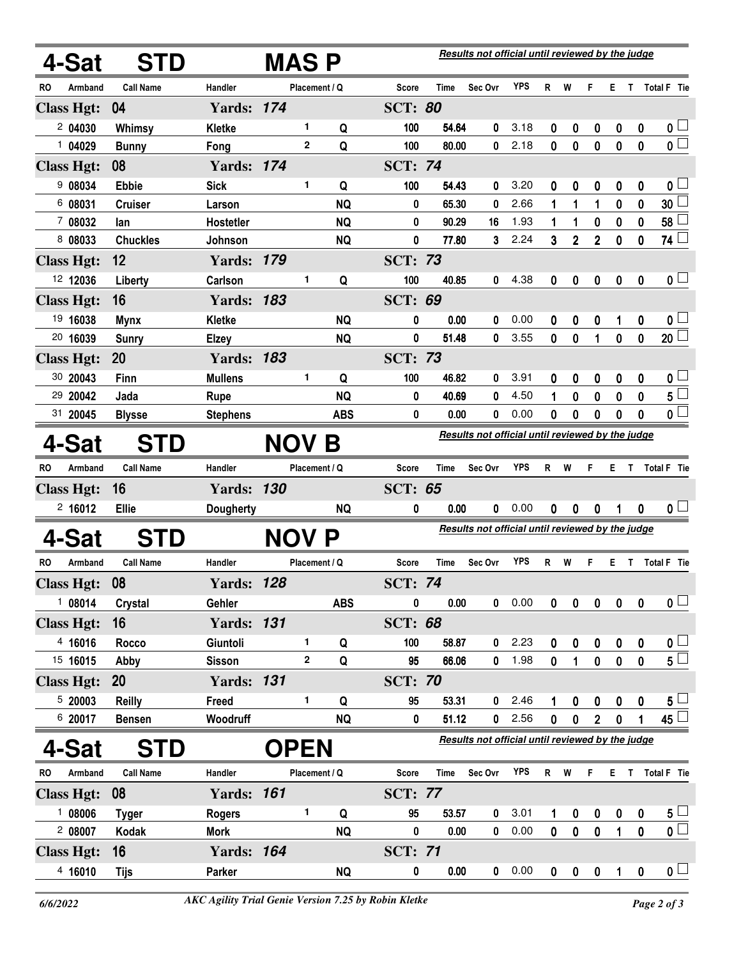| 4-Sat                | <b>STD</b>       |                   | MAS P                   |               | Results not official until reviewed by the judge |                                                  |         |            |              |                |                         |                         |                  |                         |
|----------------------|------------------|-------------------|-------------------------|---------------|--------------------------------------------------|--------------------------------------------------|---------|------------|--------------|----------------|-------------------------|-------------------------|------------------|-------------------------|
| RO<br>Armband        | <b>Call Name</b> | Handler           | Placement / Q           |               | <b>Score</b>                                     | Time                                             | Sec Ovr | <b>YPS</b> | R            | W              | F                       | E.                      | T                | Total F Tie             |
| <b>Class Hgt:</b>    | 04               | <b>Yards: 174</b> |                         |               | <b>SCT: 80</b>                                   |                                                  |         |            |              |                |                         |                         |                  |                         |
| 204030               | Whimsy           | <b>Kletke</b>     | 1.                      | Q             | 100                                              | 54.64                                            | 0       | 3.18       | 0            | 0              | 0                       | $\boldsymbol{0}$        | $\boldsymbol{0}$ | $\mathbf{0}$ $\Box$     |
| 1 04029              | <b>Bunny</b>     | Fong              | $\mathbf{2}$            | Q             | 100                                              | 80.00                                            | 0       | 2.18       | 0            | $\bf{0}$       | 0                       | $\mathbf 0$             | $\mathbf{0}$     | $\overline{\mathbf{0}}$ |
| <b>Class Hgt:</b>    | 08               | <b>Yards: 174</b> |                         |               | <b>SCT: 74</b>                                   |                                                  |         |            |              |                |                         |                         |                  |                         |
| 9 08034              | <b>Ebbie</b>     | <b>Sick</b>       | 1                       | Q             | 100                                              | 54.43                                            | 0       | 3.20       | 0            | 0              | 0                       | $\boldsymbol{0}$        | $\boldsymbol{0}$ | 0 <sub>1</sub>          |
| 6 08031              | <b>Cruiser</b>   | Larson            |                         | <b>NQ</b>     | 0                                                | 65.30                                            | 0       | 2.66       | 1            | 1              | 1                       | 0                       | 0                | 30 <sup>1</sup>         |
| 7 08032              | lan              | Hostetler         |                         | <b>NQ</b>     | 0                                                | 90.29                                            | 16      | 1.93       | 1            | 1              | 0                       | 0                       | 0                | 58 <sup>1</sup>         |
| 8 08033              | <b>Chuckles</b>  | Johnson           |                         | <b>NQ</b>     | 0                                                | 77.80                                            | 3       | 2.24       | 3            | $\overline{2}$ | $\overline{2}$          | $\mathbf 0$             | 0                | $\overline{74}$         |
| <b>Class Hgt:</b>    | 12               | <b>Yards: 179</b> |                         |               | SCT:                                             | 73                                               |         |            |              |                |                         |                         |                  |                         |
| 12 12036             | Liberty          | Carlson           | 1                       | Q             | 100                                              | 40.85                                            | 0       | 4.38       | $\mathbf 0$  | 0              | 0                       | $\mathbf 0$             | $\mathbf 0$      | $\mathbf{0}$ $\Box$     |
| <b>Class Hgt:</b>    | 16               | <b>Yards: 183</b> |                         |               | <b>SCT: 69</b>                                   |                                                  |         |            |              |                |                         |                         |                  |                         |
| 19 16038             | <b>Mynx</b>      | Kletke            |                         | <b>NQ</b>     | 0                                                | 0.00                                             | 0       | 0.00       | 0            | 0              | 0                       |                         | 0                | $\mathbf{0}$ $\Box$     |
| 20 16039             | <b>Sunry</b>     | Elzey             |                         | <b>NQ</b>     | 0                                                | 51.48                                            | 0       | 3.55       | 0            | 0              | 1                       | 0                       | $\mathbf 0$      | $20 \Box$               |
| <b>Class Hgt:</b>    | 20               | <b>Yards: 183</b> |                         |               | <b>SCT: 73</b>                                   |                                                  |         |            |              |                |                         |                         |                  |                         |
| 30 20043             | Finn             | <b>Mullens</b>    | 1.                      | Q             | 100                                              | 46.82                                            | 0       | 3.91       | 0            | 0              | 0                       | 0                       | 0                | $\mathbf{0}$ $\Box$     |
| 29 20042             | Jada             | Rupe              |                         | <b>NQ</b>     | 0                                                | 40.69                                            | 0       | 4.50       | 1            | 0              | 0                       | 0                       | 0                | $\overline{5}$          |
| 31 20045             | <b>Blysse</b>    | <b>Stephens</b>   |                         | <b>ABS</b>    | 0                                                | 0.00                                             | 0       | 0.00       | 0            | 0              | 0                       | 0                       | 0                | $\overline{\mathbf{0}}$ |
| 4-Sat                | STD              |                   | <b>NOV</b>              | Β             |                                                  | Results not official until reviewed by the judge |         |            |              |                |                         |                         |                  |                         |
| RO<br>Armband        | <b>Call Name</b> | Handler           |                         | Placement / Q | Score                                            | <b>Time</b>                                      | Sec Ovr | <b>YPS</b> | R            | W              | F                       | E.                      | T                | Total F Tie             |
| <b>Class Hgt:</b>    | 16               | <b>Yards: 130</b> |                         |               | <b>SCT: 65</b>                                   |                                                  |         |            |              |                |                         |                         |                  |                         |
| 2,16012              | <b>Ellie</b>     | Dougherty         |                         | <b>NQ</b>     | 0                                                | 0.00                                             | 0       | 0.00       | 0            | 0              | 0                       |                         | 0                | 0 <sub>1</sub>          |
| 4-Sat                | <b>STD</b>       |                   | <b>NOV P</b>            |               | Results not official until reviewed by the judge |                                                  |         |            |              |                |                         |                         |                  |                         |
| RO<br>Armband        | <b>Call Name</b> | Handler           | Placement / Q           |               | <b>Score</b>                                     | Time                                             | Sec Ovr | <b>YPS</b> | R            | W              | F                       | E.                      | T.               | Total F Tie             |
| <b>Class Hgt:</b>    | 08               | Yards:            | 128                     |               | <b>SCT: 74</b>                                   |                                                  |         |            |              |                |                         |                         |                  |                         |
| 1 08014              | Crystal          | Gehler            |                         | <b>ABS</b>    | 0                                                | 0.00                                             | 0       | 0.00       | $\mathbf{0}$ | 0              | $\pmb{0}$               | $\pmb{0}$               | $\boldsymbol{0}$ | $\overline{\mathbf{0}}$ |
| <b>Class Hgt:</b>    | 16               | <b>Yards: 131</b> |                         |               | <b>SCT: 68</b>                                   |                                                  |         |            |              |                |                         |                         |                  |                         |
| 4 16016              | Rocco            | Giuntoli          | 1                       | Q             | 100                                              | 58.87                                            | 0       | 2.23       | $\mathbf 0$  | 0              | $\pmb{0}$               | $\pmb{0}$               | $\pmb{0}$        | $\mathfrak{o} \sqcup$   |
| 15 16015             | Abby             | <b>Sisson</b>     | $\overline{\mathbf{2}}$ | Q             | 95                                               | 66.06                                            | 0       | 1.98       | $\mathbf 0$  | 1              | $\pmb{0}$               | $\pmb{0}$               | $\mathbf 0$      | $5^{\square}$           |
| <b>Class Hgt:</b>    | <b>20</b>        | <b>Yards: 131</b> |                         |               | <b>SCT: 70</b>                                   |                                                  |         |            |              |                |                         |                         |                  |                         |
| 520003               | <b>Reilly</b>    | Freed             | 1                       | Q             | 95                                               | 53.31                                            | 0       | 2.46       |              | 0              | $\pmb{0}$               | $\pmb{0}$               | $\pmb{0}$        | 5 <sub>1</sub>          |
| 6 20017              | <b>Bensen</b>    | Woodruff          |                         | <b>NQ</b>     | 0                                                | 51.12                                            | 0       | 2.56       | $\mathbf 0$  | $\pmb{0}$      | $\overline{\mathbf{2}}$ | $\pmb{0}$               |                  | $45\Box$                |
| 4-Sat                | <b>STD</b>       |                   | <b>OPEN</b>             |               | Results not official until reviewed by the judge |                                                  |         |            |              |                |                         |                         |                  |                         |
| Armband<br><b>RO</b> | <b>Call Name</b> | Handler           |                         | Placement / Q | Score                                            | <b>Time</b>                                      | Sec Ovr | <b>YPS</b> | $R$ W        |                | F                       |                         |                  | E T Total F Tie         |
| <b>Class Hgt:</b>    | 08               | <b>Yards: 161</b> |                         |               | <b>SCT: 77</b>                                   |                                                  |         |            |              |                |                         |                         |                  |                         |
| 108006               | <b>Tyger</b>     | <b>Rogers</b>     | 1.                      | Q             | 95                                               | 53.57                                            | 0       | 3.01       | 1            | $\bf{0}$       | $\pmb{0}$               | $\pmb{0}$               | $\boldsymbol{0}$ | $5+$                    |
| 2 08007              | <b>Kodak</b>     | <b>Mork</b>       |                         | <b>NQ</b>     | 0                                                | 0.00                                             | 0       | 0.00       | $\mathbf 0$  | 0              | $\pmb{0}$               | 1                       | $\mathbf 0$      | $\overline{\mathbf{0}}$ |
| <b>Class Hgt:</b>    | 16               | <b>Yards: 164</b> |                         |               | <b>SCT: 71</b>                                   |                                                  |         |            |              |                |                         |                         |                  |                         |
| 4 16010              | <b>Tijs</b>      | Parker            |                         | <b>NQ</b>     | 0                                                | 0.00                                             | 0       | 0.00       | $\mathbf 0$  | $\pmb{0}$      | $\pmb{0}$               | $\overline{\mathbf{1}}$ | $\pmb{0}$        | 0 <sub>1</sub>          |